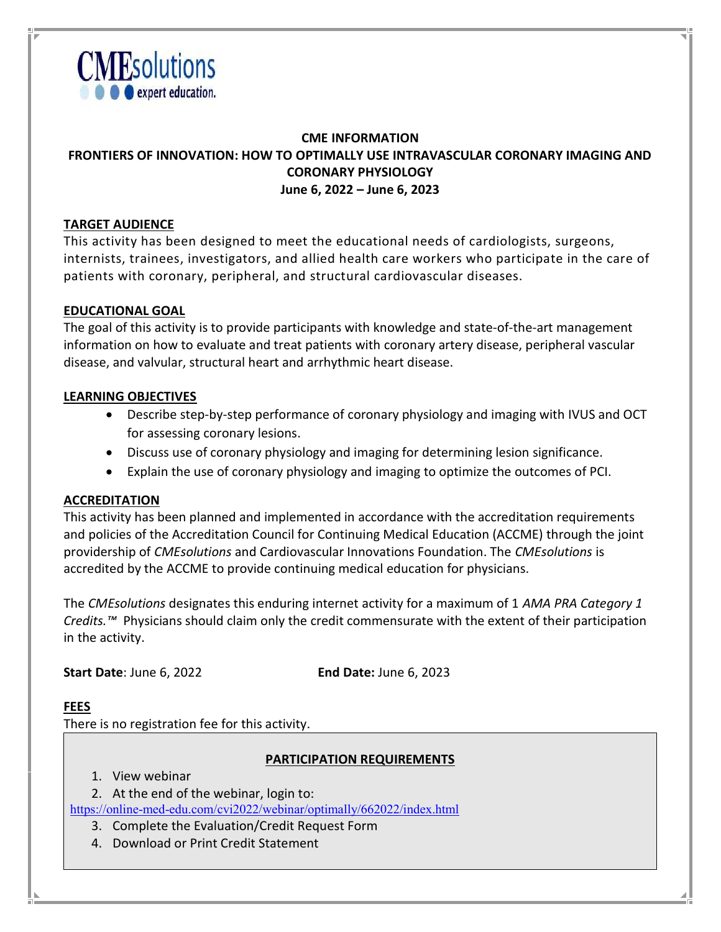

# CME INFORMATION FRONTIERS OF INNOVATION: HOW TO OPTIMALLY USE INTRAVASCULAR CORONARY IMAGING AND CORONARY PHYSIOLOGY June 6, 2022 – June 6, 2023

# TARGET AUDIENCE

This activity has been designed to meet the educational needs of cardiologists, surgeons, internists, trainees, investigators, and allied health care workers who participate in the care of patients with coronary, peripheral, and structural cardiovascular diseases.

### EDUCATIONAL GOAL

The goal of this activity is to provide participants with knowledge and state-of-the-art management information on how to evaluate and treat patients with coronary artery disease, peripheral vascular disease, and valvular, structural heart and arrhythmic heart disease.

#### LEARNING OBJECTIVES

- Describe step-by-step performance of coronary physiology and imaging with IVUS and OCT for assessing coronary lesions.
- Discuss use of coronary physiology and imaging for determining lesion significance.
- Explain the use of coronary physiology and imaging to optimize the outcomes of PCI.

#### ACCREDITATION

This activity has been planned and implemented in accordance with the accreditation requirements and policies of the Accreditation Council for Continuing Medical Education (ACCME) through the joint providership of CMEsolutions and Cardiovascular Innovations Foundation. The CMEsolutions is accredited by the ACCME to provide continuing medical education for physicians.

The CMEsolutions designates this enduring internet activity for a maximum of 1 AMA PRA Category 1 Credits.<sup>™</sup> Physicians should claim only the credit commensurate with the extent of their participation in the activity.

Start Date: June 6, 2022 End Date: June 6, 2023

#### FEES

There is no registration fee for this activity.

#### PARTICIPATION REQUIREMENTS

1. View webinar

2. At the end of the webinar, login to:

https://online-med-edu.com/cvi2022/webinar/optimally/662022/index.html

- 3. Complete the Evaluation/Credit Request Form
- 4. Download or Print Credit Statement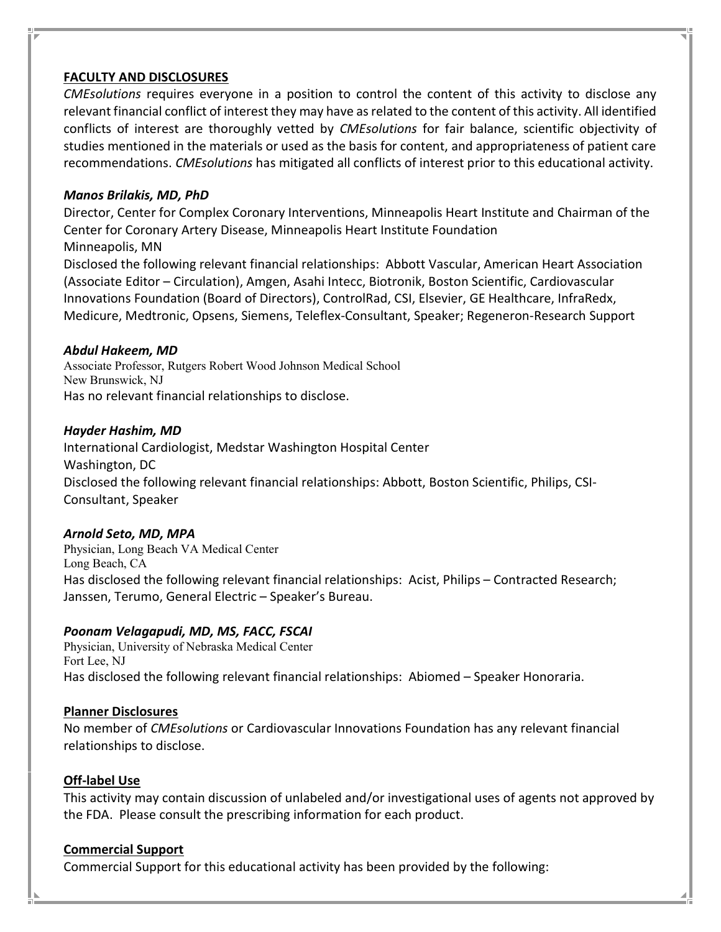# FACULTY AND DISCLOSURES

CMEsolutions requires everyone in a position to control the content of this activity to disclose any relevant financial conflict of interest they may have as related to the content of this activity. All identified conflicts of interest are thoroughly vetted by CMEsolutions for fair balance, scientific objectivity of studies mentioned in the materials or used as the basis for content, and appropriateness of patient care recommendations. CMEsolutions has mitigated all conflicts of interest prior to this educational activity.

#### Manos Brilakis, MD, PhD

Director, Center for Complex Coronary Interventions, Minneapolis Heart Institute and Chairman of the Center for Coronary Artery Disease, Minneapolis Heart Institute Foundation Minneapolis, MN

Disclosed the following relevant financial relationships: Abbott Vascular, American Heart Association (Associate Editor – Circulation), Amgen, Asahi Intecc, Biotronik, Boston Scientific, Cardiovascular Innovations Foundation (Board of Directors), ControlRad, CSI, Elsevier, GE Healthcare, InfraRedx, Medicure, Medtronic, Opsens, Siemens, Teleflex-Consultant, Speaker; Regeneron-Research Support

#### Abdul Hakeem, MD

Associate Professor, Rutgers Robert Wood Johnson Medical School New Brunswick, NJ Has no relevant financial relationships to disclose.

#### Hayder Hashim, MD

International Cardiologist, Medstar Washington Hospital Center Washington, DC Disclosed the following relevant financial relationships: Abbott, Boston Scientific, Philips, CSI-Consultant, Speaker

#### Arnold Seto, MD, MPA

Physician, Long Beach VA Medical Center Long Beach, CA Has disclosed the following relevant financial relationships: Acist, Philips – Contracted Research; Janssen, Terumo, General Electric – Speaker's Bureau.

# Poonam Velagapudi, MD, MS, FACC, FSCAI

Physician, University of Nebraska Medical Center Fort Lee, NJ Has disclosed the following relevant financial relationships: Abiomed – Speaker Honoraria.

#### Planner Disclosures

No member of CMEsolutions or Cardiovascular Innovations Foundation has any relevant financial relationships to disclose.

#### Off-label Use

This activity may contain discussion of unlabeled and/or investigational uses of agents not approved by the FDA. Please consult the prescribing information for each product.

#### Commercial Support

Commercial Support for this educational activity has been provided by the following: